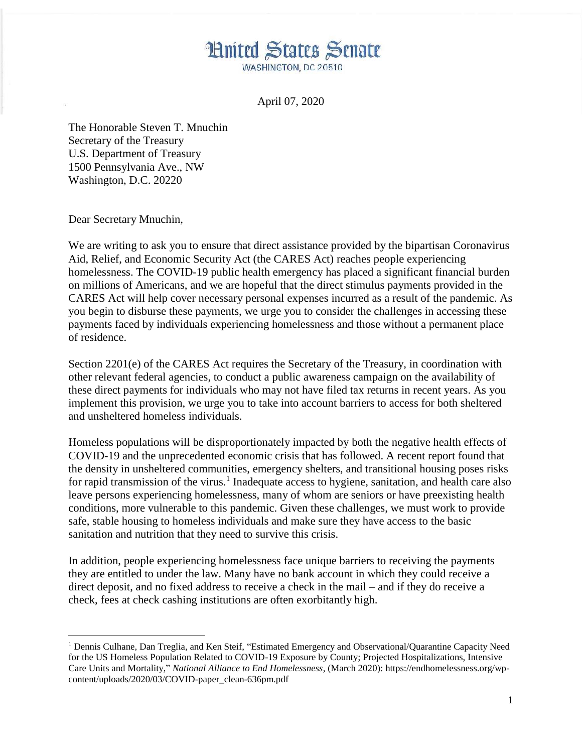**Hnited States Senate** WASHINGTON, DC 20510

April 07, 2020

The Honorable Steven T. Mnuchin Secretary of the Treasury U.S. Department of Treasury 1500 Pennsylvania Ave., NW Washington, D.C. 20220

Dear Secretary Mnuchin,

 $\overline{a}$ 

We are writing to ask you to ensure that direct assistance provided by the bipartisan Coronavirus Aid, Relief, and Economic Security Act (the CARES Act) reaches people experiencing homelessness. The COVID-19 public health emergency has placed a significant financial burden on millions of Americans, and we are hopeful that the direct stimulus payments provided in the CARES Act will help cover necessary personal expenses incurred as a result of the pandemic. As you begin to disburse these payments, we urge you to consider the challenges in accessing these payments faced by individuals experiencing homelessness and those without a permanent place of residence.

Section 2201(e) of the CARES Act requires the Secretary of the Treasury, in coordination with other relevant federal agencies, to conduct a public awareness campaign on the availability of these direct payments for individuals who may not have filed tax returns in recent years. As you implement this provision, we urge you to take into account barriers to access for both sheltered and unsheltered homeless individuals.

Homeless populations will be disproportionately impacted by both the negative health effects of COVID-19 and the unprecedented economic crisis that has followed. A recent report found that the density in unsheltered communities, emergency shelters, and transitional housing poses risks for rapid transmission of the virus.<sup>1</sup> Inadequate access to hygiene, sanitation, and health care also leave persons experiencing homelessness, many of whom are seniors or have preexisting health conditions, more vulnerable to this pandemic. Given these challenges, we must work to provide safe, stable housing to homeless individuals and make sure they have access to the basic sanitation and nutrition that they need to survive this crisis.

In addition, people experiencing homelessness face unique barriers to receiving the payments they are entitled to under the law. Many have no bank account in which they could receive a direct deposit, and no fixed address to receive a check in the mail – and if they do receive a check, fees at check cashing institutions are often exorbitantly high.

<sup>1</sup> Dennis Culhane, Dan Treglia, and Ken Steif, "Estimated Emergency and Observational/Quarantine Capacity Need for the US Homeless Population Related to COVID-19 Exposure by County; Projected Hospitalizations, Intensive Care Units and Mortality," *National Alliance to End Homelessness*, (March 2020): https://endhomelessness.org/wpcontent/uploads/2020/03/COVID-paper\_clean-636pm.pdf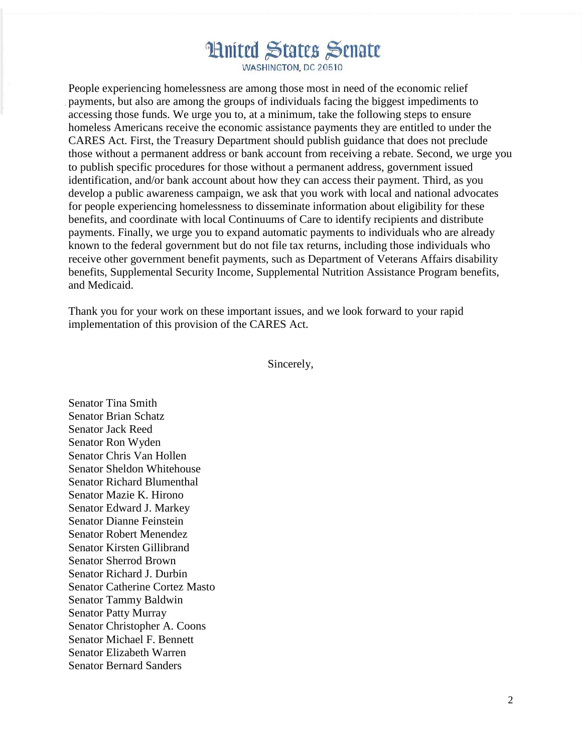**Hnited States Senate** 

WASHINGTON, DC 20510

People experiencing homelessness are among those most in need of the economic relief payments, but also are among the groups of individuals facing the biggest impediments to accessing those funds. We urge you to, at a minimum, take the following steps to ensure homeless Americans receive the economic assistance payments they are entitled to under the CARES Act. First, the Treasury Department should publish guidance that does not preclude those without a permanent address or bank account from receiving a rebate. Second, we urge you to publish specific procedures for those without a permanent address, government issued identification, and/or bank account about how they can access their payment. Third, as you develop a public awareness campaign, we ask that you work with local and national advocates for people experiencing homelessness to disseminate information about eligibility for these benefits, and coordinate with local Continuums of Care to identify recipients and distribute payments. Finally, we urge you to expand automatic payments to individuals who are already known to the federal government but do not file tax returns, including those individuals who receive other government benefit payments, such as Department of Veterans Affairs disability benefits, Supplemental Security Income, Supplemental Nutrition Assistance Program benefits, and Medicaid.

Thank you for your work on these important issues, and we look forward to your rapid implementation of this provision of the CARES Act.

Sincerely,

Senator Tina Smith Senator Brian Schatz Senator Jack Reed Senator Ron Wyden Senator Chris Van Hollen Senator Sheldon Whitehouse Senator Richard Blumenthal Senator Mazie K. Hirono Senator Edward J. Markey Senator Dianne Feinstein Senator Robert Menendez Senator Kirsten Gillibrand Senator Sherrod Brown Senator Richard J. Durbin Senator Catherine Cortez Masto Senator Tammy Baldwin Senator Patty Murray Senator Christopher A. Coons Senator Michael F. Bennett Senator Elizabeth Warren Senator Bernard Sanders